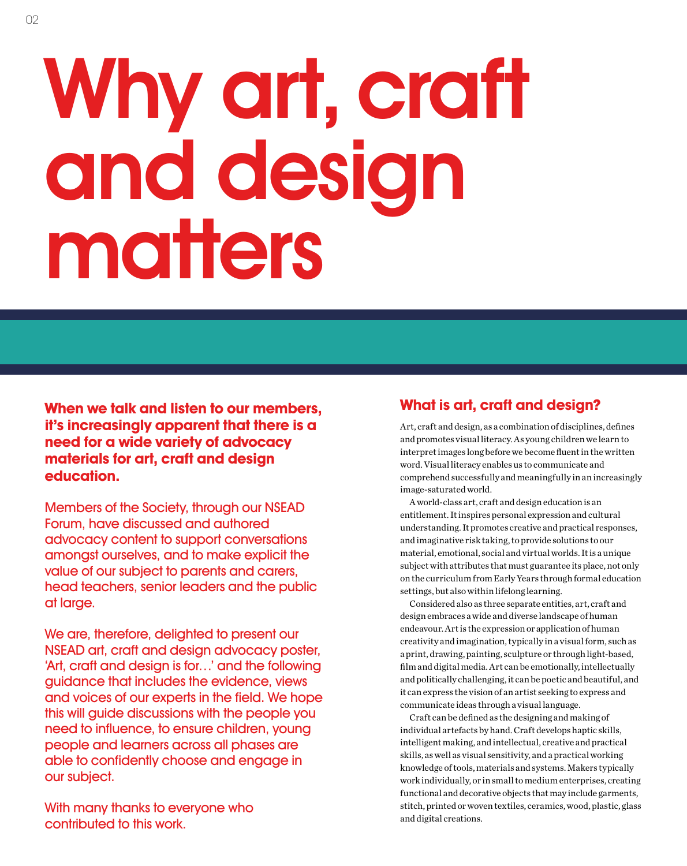# Why art, craft and design matters

**When we talk and listen to our members, it's increasingly apparent that there is a need for a wide variety of advocacy materials for art, craft and design education.**

Members of the Society, through our NSEAD Forum, have discussed and authored advocacy content to support conversations amongst ourselves, and to make explicit the value of our subject to parents and carers, head teachers, senior leaders and the public at large.

We are, therefore, delighted to present our NSEAD art, craft and design advocacy poster, 'Art, craft and design is for…' and the following guidance that includes the evidence, views and voices of our experts in the field. We hope this will guide discussions with the people you need to influence, to ensure children, young people and learners across all phases are able to confidently choose and engage in our subject.

With many thanks to everyone who contributed to this work.

### **What is art, craft and design?**

Art, craft and design, as a combination of disciplines, defines and promotes visual literacy. As young children we learn to interpret images long before we become fluent in the written word. Visual literacy enables us to communicate and comprehend successfully and meaningfully in an increasingly image-saturated world.

A world-class art, craft and design education is an entitlement. It inspires personal expression and cultural understanding. It promotes creative and practical responses, and imaginative risk taking, to provide solutions to our material, emotional, social and virtual worlds. It is a unique subject with attributes that must guarantee its place, not only on the curriculum from Early Years through formal education settings, but also within lifelong learning.

Considered also as three separate entities, art, craft and design embraces a wide and diverse landscape of human endeavour. Art is the expression or application of human creativity and imagination, typically in a visual form, such as a print, drawing, painting, sculpture or through light-based, film and digital media. Art can be emotionally, intellectually and politically challenging, it can be poetic and beautiful, and it can express the vision of an artist seeking to express and communicate ideas through a visual language.

Craft can be defined as the designing and making of individual artefacts by hand. Craft develops haptic skills, intelligent making, and intellectual, creative and practical skills, as well as visual sensitivity, and a practical working knowledge of tools, materials and systems. Makers typically work individually, or in small to medium enterprises, creating functional and decorative objects that may include garments, stitch, printed or woven textiles, ceramics, wood, plastic, glass and digital creations.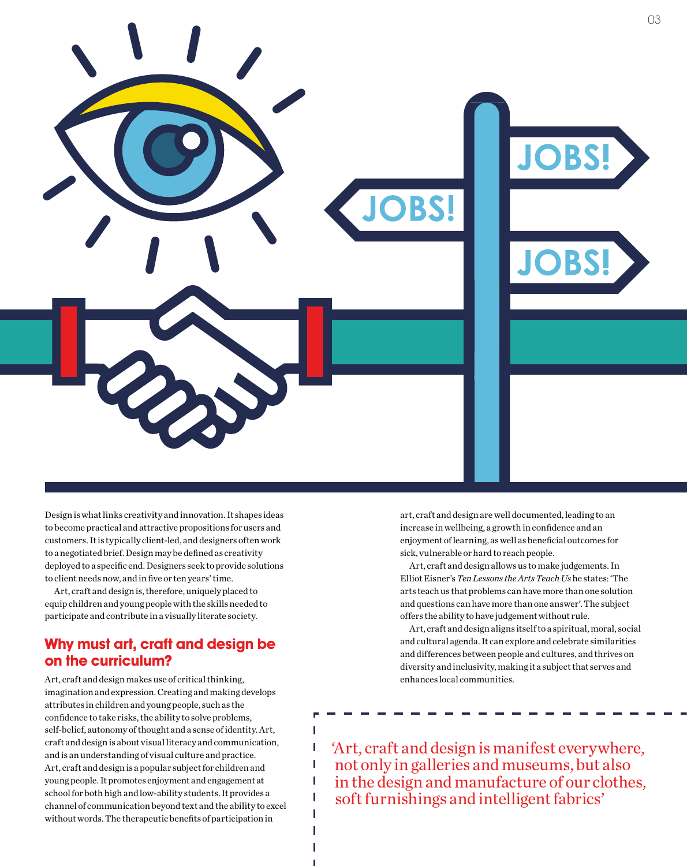

Ī I Ï I I

Design is what links creativity and innovation. It shapes ideas to become practical and attractive propositions for users and customers. It is typically client-led, and designers often work to a negotiated brief. Design may be defined as creativity deployed to a specific end. Designers seek to provide solutions to client needs now, and in five or ten years' time.

Art, craft and design is, therefore, uniquely placed to equip children and young people with the skills needed to participate and contribute in a visually literate society.

#### **Why must art, craft and design be on the curriculum?**

Art, craft and design makes use of critical thinking, imagination and expression. Creating and making develops attributes in children and young people, such as the confidence to take risks, the ability to solve problems, self-belief, autonomy of thought and a sense of identity. Art, craft and design is about visual literacy and communication, and is an understanding of visual culture and practice. Art, craft and design is a popular subject for children and young people. It promotes enjoyment and engagement at school for both high and low-ability students. It provides a channel of communication beyond text and the ability to excel without words. The therapeutic benefits of participation in

art, craft and design are well documented, leading to an increase in wellbeing, a growth in confidence and an enjoyment of learning, as well as beneficial outcomes for sick, vulnerable or hard to reach people.

Art, craft and design allows us to make judgements. In Elliot Eisner's *Ten Lessons the Arts Teach Us* he states: 'The arts teach us that problems can have more than one solution and questions can have more than one answer'. The subject offers the ability to have judgement without rule.

Art, craft and design aligns itself to a spiritual, moral, social and cultural agenda. It can explore and celebrate similarities and differences between people and cultures, and thrives on diversity and inclusivity, making it a subject that serves and enhances local communities.

'Art, craft and design is manifest everywhere, not only in galleries and museums, but also in the design and manufacture of our clothes, soft furnishings and intelligent fabrics'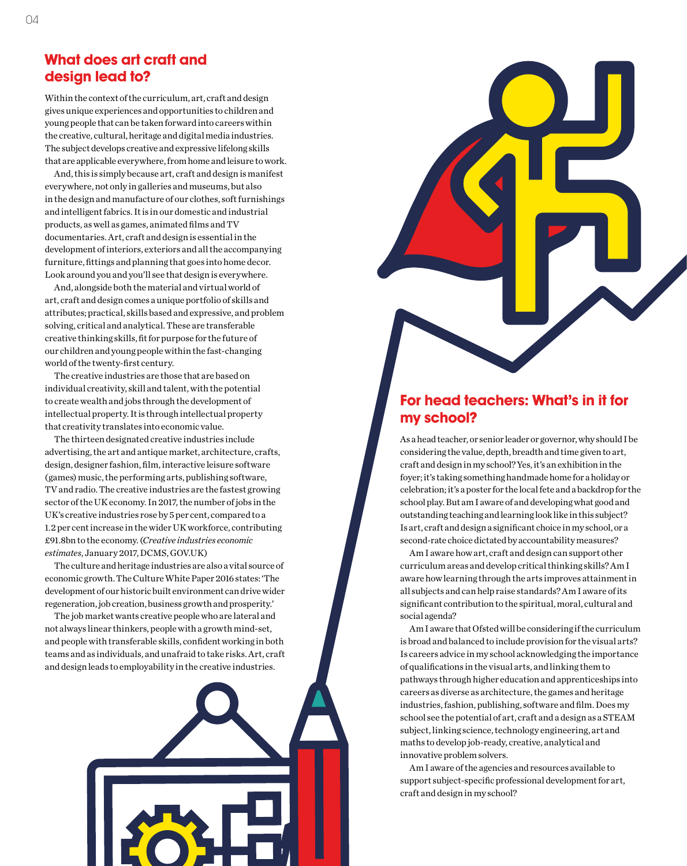#### **What does art craft and design lead to?**

Within the context of the curriculum, art, craft and design gives unique experiences and opportunities to children and young people that can be taken forward into careers within the creative, cultural, heritage and digital media industries. The subject develops creative and expressive lifelong skills that are applicable everywhere, from home and leisure to work.

And, this is simply because art, craft and design is manifest everywhere, not only in galleries and museums, but also in the design and manufacture of our clothes, soft furnishings and intelligent fabrics. It is in our domestic and industrial products, as well as games, animated films and TV documentaries. Art, craft and design is essential in the development of interiors, exteriors and all the accompanying furniture, fittings and planning that goes into home decor. Look around you and you'll see that design is everywhere.

And, alongside both the material and virtual world of art, craft and design comes a unique portfolio of skills and attributes; practical, skills based and expressive, and problem solving, critical and analytical. These are transferable creative thinking skills, fit for purpose for the future of our children and young people within the fast-changing world of the twenty-first century.

The creative industries are those that are based on individual creativity, skill and talent, with the potential to create wealth and jobs through the development of intellectual property. It is through intellectual property that creativity translates into economic value.

The thirteen designated creative industries include advertising, the art and antique market, architecture, crafts, design, designer fashion, film, interactive leisure software (games) music, the performing arts, publishing software, TV and radio. The creative industries are the fastest growing sector of the UK economy. In 2017, the number of jobs in the UK's creative industries rose by 5 per cent, compared to a 1.2 per cent increase in the wider UK workforce, contributing £91.8bn to the economy. (*Creative industries economic estimates*, January 2017, DCMS, GOV.UK)

The culture and heritage industries are also a vital source of economic growth. The Culture White Paper 2016 states: 'The development of our historic built environment can drive wider regeneration, job creation, business growth and prosperity.'

The job market wants creative people who are lateral and not always linear thinkers, people with a growth mind-set, and people with transferable skills, confident working in both teams and as individuals, and unafraid to take risks. Art, craft and design leads to employability in the creative industries.



#### **For head teachers: What's in it for my school?**

As a head teacher, or senior leader or governor, why should I be considering the value, depth, breadth and time given to art, craft and design in my school? Yes, it's an exhibition in the foyer; it's taking something handmade home for a holiday or celebration; it's a poster for the local fete and a backdrop for the school play. But am I aware of and developing what good and outstanding teaching and learning look like in this subject? Is art, craft and design a significant choice in my school, or a second-rate choice dictated by accountability measures?

Am I aware how art, craft and design can support other curriculum areas and develop critical thinking skills? Am I aware how learning through the arts improves attainment in all subjects and can help raise standards? Am I aware of its significant contribution to the spiritual, moral, cultural and social agenda?

Am I aware that Ofsted will be considering if the curriculum is broad and balanced to include provision for the visual arts? Is careers advice in my school acknowledging the importance of qualifications in the visual arts, and linking them to pathways through higher education and apprenticeships into careers as diverse as architecture, the games and heritage industries, fashion, publishing, software and film. Does my school see the potential of art, craft and a design as a STEAM subject, linking science, technology engineering, art and maths to develop job-ready, creative, analytical and innovative problem solvers.

Am I aware of the agencies and resources available to support subject-specific professional development for art, craft and design in my school?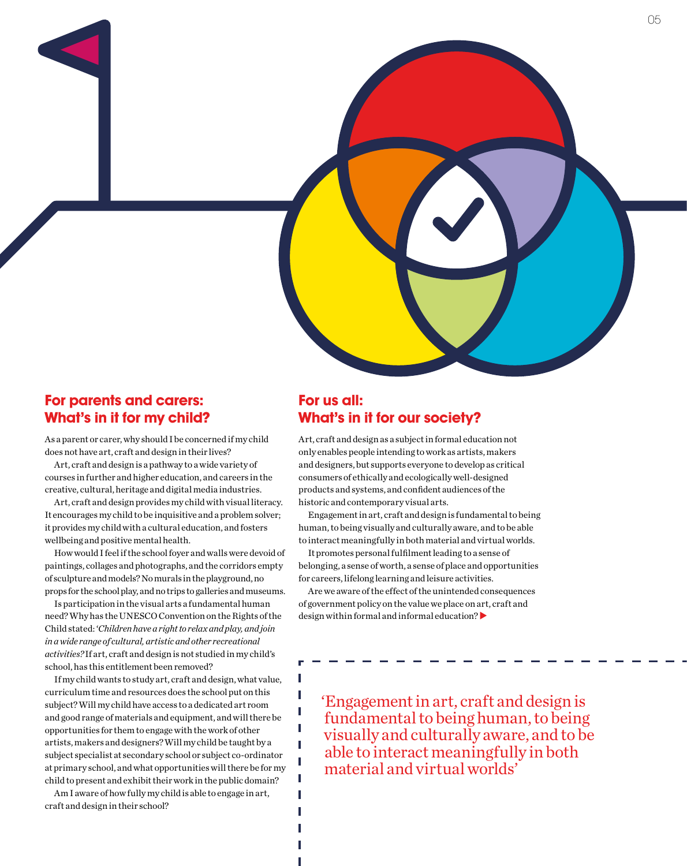

#### **For parents and carers: What's in it for my child?**

As a parent or carer, why should I be concerned if my child does not have art, craft and design in their lives?

Art, craft and design is a pathway to a wide variety of courses in further and higher education, and careers in the creative, cultural, heritage and digital media industries.

Art, craft and design provides my child with visual literacy. It encourages my child to be inquisitive and a problem solver; it provides my child with a cultural education, and fosters wellbeing and positive mental health.

How would I feel if the school foyer and walls were devoid of paintings, collages and photographs, and the corridors empty of sculpture and models? No murals in the playground, no props for the school play, and no trips to galleries and museums.

Is participation in the visual arts a fundamental human need? Why has the UNESCO Convention on the Rights of the Child stated: '*Children have a right to relax and play, and join in a wide range of cultural, artistic and other recreational activities?* If art, craft and design is not studied in my child's school, has this entitlement been removed?

If my child wants to study art, craft and design, what value, curriculum time and resources does the school put on this subject? Will my child have access to a dedicated art room and good range of materials and equipment, and will there be opportunities for them to engage with the work of other artists, makers and designers? Will my child be taught by a subject specialist at secondary school or subject co-ordinator at primary school, and what opportunities will there be for my child to present and exhibit their work in the public domain?

Am I aware of how fully my child is able to engage in art, craft and design in their school?

#### **For us all: What's in it for our society?**

Art, craft and design as a subject in formal education not only enables people intending to work as artists, makers and designers, but supports everyone to develop as critical consumers of ethically and ecologically well-designed products and systems, and confident audiences of the historic and contemporary visual arts.

Engagement in art, craft and design is fundamental to being human, to being visually and culturally aware, and to be able to interact meaningfully in both material and virtual worlds.

It promotes personal fulfilment leading to a sense of belonging, a sense of worth, a sense of place and opportunities for careers, lifelong learning and leisure activities.

Are we aware of the effect of the unintended consequences of government policy on the value we place on art, craft and design within formal and informal education? $\blacktriangleright$ 

ſ Ī Ī I Ï I Ī I

'Engagement in art, craft and design is fundamental to being human, to being visually and culturally aware, and to be able to interact meaningfully in both material and virtual worlds'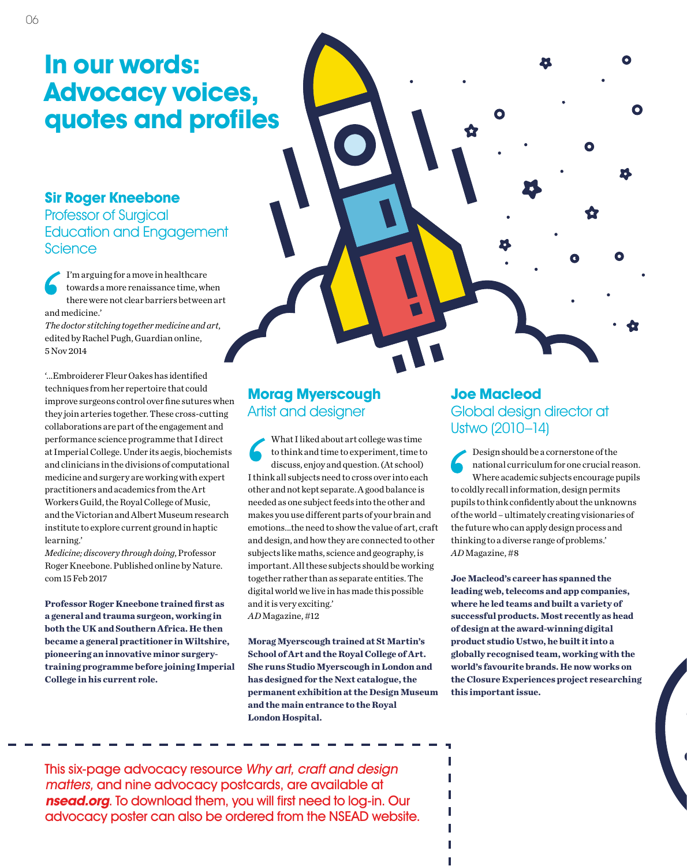## **In our words: Advocacy voices, quotes and profiles**

#### **Sir Roger Kneebone** Professor of Surgical Education and Engagement **Science**

I'm arguing for a move in healthcare towards a more renaissance time, when there were not clear barriers between art and medicine.'

*The doctor stitching together medicine and art*, edited by Rachel Pugh, Guardian online, 5 Nov 2014

'...Embroiderer Fleur Oakes has identified techniques from her repertoire that could improve surgeons control over fine sutures when they join arteries together. These cross-cutting collaborations are part of the engagement and performance science programme that I direct at Imperial College. Under its aegis, biochemists and clinicians in the divisions of computational medicine and surgery are working with expert practitioners and academics from the Art Workers Guild, the Royal College of Music, and the Victorian and Albert Museum research institute to explore current ground in haptic learning.'

*Medicine; discovery through doing*, Professor Roger Kneebone. Published online by Nature. com 15 Feb 2017

**Professor Roger Kneebone trained first as a general and trauma surgeon, working in both the UK and Southern Africa. He then became a general practitioner in Wiltshire, pioneering an innovative minor surgerytraining programme before joining Imperial College in his current role.**

#### **Morag Myerscough** Artist and designer

What I liked about art college was time to think and time to experiment, time to discuss, enjoy and question. (At school) I think all subjects need to cross over into each other and not kept separate. A good balance is needed as one subject feeds into the other and makes you use different parts of your brain and emotions...the need to show the value of art, craft and design, and how they are connected to other subjects like maths, science and geography, is important. All these subjects should be working together rather than as separate entities. The digital world we live in has made this possible and it is very exciting.'

*AD* Magazine, #12

**Morag Myerscough trained at St Martin's School of Art and the Royal College of Art. She runs Studio Myerscough in London and has designed for the Next catalogue, the permanent exhibition at the Design Museum and the main entrance to the Royal London Hospital.**

#### **Joe Macleod**  Global design director at Ustwo (2010–14)

O

Design should be a cornerstone of the national curriculum for one crucial reason. Where academic subjects encourage pupils to coldly recall information, design permits pupils to think confidently about the unknowns of the world – ultimately creating visionaries of the future who can apply design process and thinking to a diverse range of problems.' *AD* Magazine, #8

**Joe Macleod's career has spanned the leading web, telecoms and app companies, where he led teams and built a variety of successful products. Most recently as head of design at the award-winning digital product studio Ustwo, he built it into a globally recognised team, working with the world's favourite brands. He now works on the Closure Experiences project researching this important issue.**

П

П

This six-page advocacy resource Why art, craft and design matters, and nine advocacy postcards, are available at **nsead.org**. To download them, you will first need to log-in. Our advocacy poster can also be ordered from the NSEAD website.